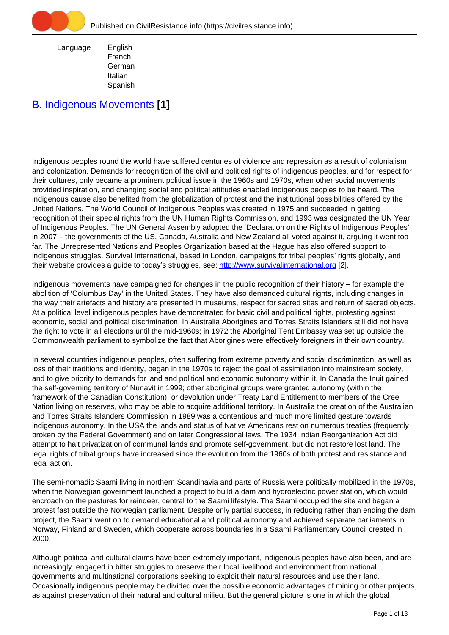

 Language English French German Italian Spanish

## [B. Indigenous Movements](https://civilresistance.info/section/b-indigenous-movements) **[1]**

Indigenous peoples round the world have suffered centuries of violence and repression as a result of colonialism and colonization. Demands for recognition of the civil and political rights of indigenous peoples, and for respect for their cultures, only became a prominent political issue in the 1960s and 1970s, when other social movements provided inspiration, and changing social and political attitudes enabled indigenous peoples to be heard. The indigenous cause also benefited from the globalization of protest and the institutional possibilities offered by the United Nations. The World Council of Indigenous Peoples was created in 1975 and succeeded in getting recognition of their special rights from the UN Human Rights Commission, and 1993 was designated the UN Year of Indigenous Peoples. The UN General Assembly adopted the 'Declaration on the Rights of Indigenous Peoples' in 2007 – the governments of the US, Canada, Australia and New Zealand all voted against it, arguing it went too far. The Unrepresented Nations and Peoples Organization based at the Hague has also offered support to indigenous struggles. Survival International, based in London, campaigns for tribal peoples' rights globally, and their website provides a guide to today's struggles, see: <http://www.survivalinternational.org> [2].

Indigenous movements have campaigned for changes in the public recognition of their history – for example the abolition of 'Columbus Day' in the United States. They have also demanded cultural rights, including changes in the way their artefacts and history are presented in museums, respect for sacred sites and return of sacred objects. At a political level indigenous peoples have demonstrated for basic civil and political rights, protesting against economic, social and political discrimination. In Australia Aborigines and Torres Straits Islanders still did not have the right to vote in all elections until the mid-1960s; in 1972 the Aboriginal Tent Embassy was set up outside the Commonwealth parliament to symbolize the fact that Aborigines were effectively foreigners in their own country.

In several countries indigenous peoples, often suffering from extreme poverty and social discrimination, as well as loss of their traditions and identity, began in the 1970s to reject the goal of assimilation into mainstream society, and to give priority to demands for land and political and economic autonomy within it. In Canada the Inuit gained the self-governing territory of Nunavit in 1999; other aboriginal groups were granted autonomy (within the framework of the Canadian Constitution), or devolution under Treaty Land Entitlement to members of the Cree Nation living on reserves, who may be able to acquire additional territory. In Australia the creation of the Australian and Torres Straits Islanders Commission in 1989 was a contentious and much more limited gesture towards indigenous autonomy. In the USA the lands and status of Native Americans rest on numerous treaties (frequently broken by the Federal Government) and on later Congressional laws. The 1934 Indian Reorganization Act did attempt to halt privatization of communal lands and promote self-government, but did not restore lost land. The legal rights of tribal groups have increased since the evolution from the 1960s of both protest and resistance and legal action.

The semi-nomadic Saami living in northern Scandinavia and parts of Russia were politically mobilized in the 1970s, when the Norwegian government launched a project to build a dam and hydroelectric power station, which would encroach on the pastures for reindeer, central to the Saami lifestyle. The Saami occupied the site and began a protest fast outside the Norwegian parliament. Despite only partial success, in reducing rather than ending the dam project, the Saami went on to demand educational and political autonomy and achieved separate parliaments in Norway, Finland and Sweden, which cooperate across boundaries in a Saami Parliamentary Council created in 2000.

Although political and cultural claims have been extremely important, indigenous peoples have also been, and are increasingly, engaged in bitter struggles to preserve their local livelihood and environment from national governments and multinational corporations seeking to exploit their natural resources and use their land. Occasionally indigenous people may be divided over the possible economic advantages of mining or other projects, as against preservation of their natural and cultural milieu. But the general picture is one in which the global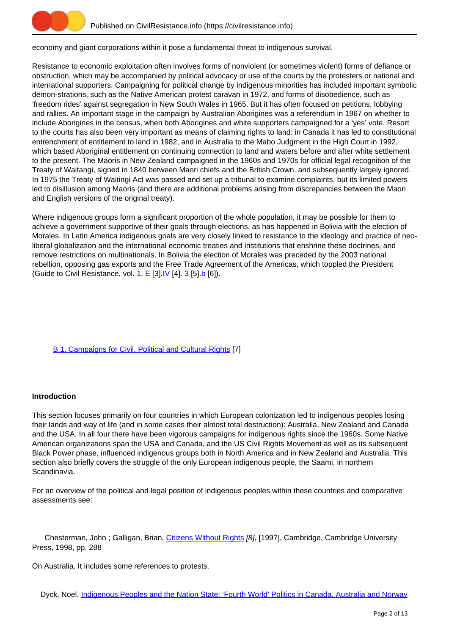

economy and giant corporations within it pose a fundamental threat to indigenous survival.

Resistance to economic exploitation often involves forms of nonviolent (or sometimes violent) forms of defiance or obstruction, which may be accompanied by political advocacy or use of the courts by the protesters or national and international supporters. Campaigning for political change by indigenous minorities has included important symbolic demon-strations, such as the Native American protest caravan in 1972, and forms of disobedience, such as 'freedom rides' against segregation in New South Wales in 1965. But it has often focused on petitions, lobbying and rallies. An important stage in the campaign by Australian Aborigines was a referendum in 1967 on whether to include Aborigines in the census, when both Aborigines and white supporters campaigned for a 'yes' vote. Resort to the courts has also been very important as means of claiming rights to land: in Canada it has led to constitutional entrenchment of entitlement to land in 1982, and in Australia to the Mabo Judgment in the High Court in 1992, which based Aboriginal entitlement on continuing connection to land and waters before and after white settlement to the present. The Maoris in New Zealand campaigned in the 1960s and 1970s for official legal recognition of the Treaty of Waitangi, signed in 1840 between Maori chiefs and the British Crown, and subsequently largely ignored. In 1975 the Treaty of Waitingi Act was passed and set up a tribunal to examine complaints, but its limited powers led to disillusion among Maoris (and there are additional problems arising from discrepancies between the Maori and English versions of the original treaty).

Where indigenous groups form a significant proportion of the whole population, it may be possible for them to achieve a government supportive of their goals through elections, as has happened in Bolivia with the election of Morales. In Latin America indigenous goals are very closely linked to resistance to the ideology and practice of neoliberal globalization and the international economic treaties and institutions that enshrine these doctrines, and remove restrictions on multinationals. In Bolivia the election of Morales was preceded by the 2003 national rebellion, opposing gas exports and the Free Trade Agreement of the Americas, which toppled the President (Guide to Civil Resistance, vol. 1,  $E$  [[3](https://civilresistance.info/section/e-resisting-oppressive-dictatorial-military-or-authoritarian-rule/e-iv-latin-america/e-iv3)]. $V$  [4]. 3 [5].  $b$  [6]).

## [B.1. Campaigns for Civil, Political and Cultural Rights](https://civilresistance.info/section/b-indigenous-movements/b1-campaigns-civil-political-and-cultural-rights) [7]

## **Introduction**

This section focuses primarily on four countries in which European colonization led to indigenous peoples losing their lands and way of life (and in some cases their almost total destruction): Australia, New Zealand and Canada and the USA. In all four there have been vigorous campaigns for indigenous rights since the 1960s. Some Native American organizations span the USA and Canada, and the US Civil Rights Movement as well as its subsequent Black Power phase, influenced indigenous groups both in North America and in New Zealand and Australia. This section also briefly covers the struggle of the only European indigenous people, the Saami, in northern Scandinavia.

For an overview of the political and legal position of indigenous peoples within these countries and comparative assessments see:

Chesterman, John; Galligan, Brian, [Citizens Without Rights](https://civilresistance.info/biblio-item/1998/citizens-without-rights) [8], [1997], Cambridge, Cambridge University Press, 1998, pp. 288

On Australia. It includes some references to protests.

Dyck, Noel, [Indigenous Peoples and the Nation State: 'Fourth World' Politics in Canada, Australia and Norway](https://civilresistance.info/biblio-item/1985/indigenous-peoples-and-nation-state-fourth-world-politics-canada-australia-and)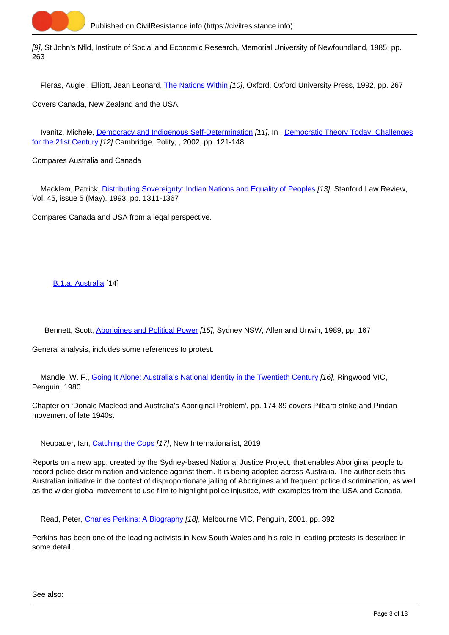

[9], St John's Nfld, Institute of Social and Economic Research, Memorial University of Newfoundland, 1985, pp. 263

Fleras, Augie ; Elliott, Jean Leonard, [The Nations Within](https://civilresistance.info/biblio-item/1992/nations-within) [10], Oxford, Oxford University Press, 1992, pp. 267

Covers Canada, New Zealand and the USA.

Ivanitz, Michele, [Democracy and Indigenous Self-Determination](https://civilresistance.info/biblio-item/2002/democracy-and-indigenous-self-determination) [11], In, [Democratic Theory Today: Challenges](https://civilresistance.info/biblio-item/2002/democratic-theory-today-challenges-21st-century) [for the 21st Century](https://civilresistance.info/biblio-item/2002/democratic-theory-today-challenges-21st-century) [12] Cambridge, Polity, , 2002, pp. 121-148

Compares Australia and Canada

Macklem, Patrick, [Distributing Sovereignty: Indian Nations and Equality of Peoples](https://civilresistance.info/biblio-item/1993/distributing-sovereignty-indian-nations-and-equality-peoples) [13], Stanford Law Review, Vol. 45, issue 5 (May), 1993, pp. 1311-1367

Compares Canada and USA from a legal perspective.

[B.1.a. Australia](https://civilresistance.info/section/b-indigenous-movements/b1-campaigns-civil-political-and-cultural-rights/b1a-australia) [14]

Bennett, Scott, [Aborigines and Political Power](https://civilresistance.info/biblio-item/1989/aborigines-and-political-power) [15], Sydney NSW, Allen and Unwin, 1989, pp. 167

General analysis, includes some references to protest.

Mandle, W. F., [Going It Alone: Australia's National Identity in the Twentieth Century](https://civilresistance.info/biblio-item/1980/going-it-alone-australias-national-identity-twentieth-century) [16], Ringwood VIC, Penguin, 1980

Chapter on 'Donald Macleod and Australia's Aboriginal Problem', pp. 174-89 covers Pilbara strike and Pindan movement of late 1940s.

Neubauer, Ian, [Catching the Cops](https://civilresistance.info/biblio-item/2019/catching-cops) [17], New Internationalist, 2019

Reports on a new app, created by the Sydney-based National Justice Project, that enables Aboriginal people to record police discrimination and violence against them. It is being adopted across Australia. The author sets this Australian initiative in the context of disproportionate jailing of Aborigines and frequent police discrimination, as well as the wider global movement to use film to highlight police injustice, with examples from the USA and Canada.

Read, Peter, [Charles Perkins: A Biography](https://civilresistance.info/biblio-item/2001/charles-perkins-biography) [18], Melbourne VIC, Penguin, 2001, pp. 392

Perkins has been one of the leading activists in New South Wales and his role in leading protests is described in some detail.

See also: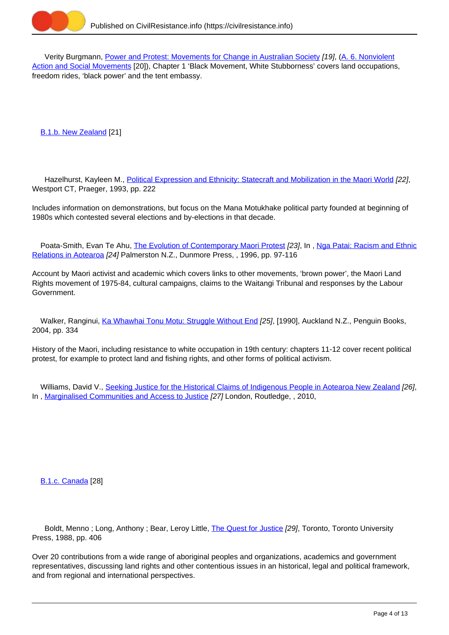

 Verity Burgmann, [Power and Protest: Movements for Change in Australian Society](https://civilresistance.info/biblio-item/1993/power-and-protest-movements-change-australian-society) [19], (A. 6. Nonviolent Action and Social Movements [20]), Chapter 1 'Black Movement, White Stubborness' covers land occupations, freedom rides, 'black power' and the tent embassy.

[B.1.b. New Zealand](https://civilresistance.info/section/b-indigenous-movements/b1-campaigns-civil-political-and-cultural-rights/b1b-new-zealand) [21]

 Hazelhurst, Kayleen M., [Political Expression and Ethnicity: Statecraft and Mobilization in the Maori World](https://civilresistance.info/biblio-item/1993/political-expression-and-ethnicity-statecraft-and-mobilization-maori-world) [22], Westport CT, Praeger, 1993, pp. 222

Includes information on demonstrations, but focus on the Mana Motukhake political party founded at beginning of 1980s which contested several elections and by-elections in that decade.

Poata-Smith, Evan Te Ahu, [The Evolution of Contemporary Maori Protest](https://civilresistance.info/biblio-item/1996/evolution-contemporary-maori-protest) [23], In, [Nga Patai: Racism and Ethnic](https://civilresistance.info/biblio-item/1996/nga-patai-racism-and-ethnic-relations-aotearoa) [Relations in Aotearoa](https://civilresistance.info/biblio-item/1996/nga-patai-racism-and-ethnic-relations-aotearoa) [24] Palmerston N.Z., Dunmore Press, , 1996, pp. 97-116

Account by Maori activist and academic which covers links to other movements, 'brown power', the Maori Land Rights movement of 1975-84, cultural campaigns, claims to the Waitangi Tribunal and responses by the Labour Government.

Walker, Ranginui, [Ka Whawhai Tonu Motu: Struggle Without End](https://civilresistance.info/biblio-item/2004/ka-whawhai-tonu-motu-struggle-without-end) [25], [1990], Auckland N.Z., Penguin Books, 2004, pp. 334

History of the Maori, including resistance to white occupation in 19th century: chapters 11-12 cover recent political protest, for example to protect land and fishing rights, and other forms of political activism.

 Williams, David V., [Seeking Justice for the Historical Claims of Indigenous People in Aotearoa New Zealand](https://civilresistance.info/biblio-item/2010/seeking-justice-historical-claims-indigenous-people-aotearoa-new-zealand) [26], In, [Marginalised Communities and Access to Justice](https://civilresistance.info/biblio-item/2010/marginalised-communities-and-access-justice) [27] London, Routledge, , 2010,

[B.1.c. Canada](https://civilresistance.info/section/b-indigenous-movements/b1-campaigns-civil-political-and-cultural-rights/b1c-canada) [28]

Boldt, Menno; Long, Anthony; Bear, Leroy Little, [The Quest for Justice](https://civilresistance.info/biblio-item/1988/quest-justice) [29], Toronto, Toronto University Press, 1988, pp. 406

Over 20 contributions from a wide range of aboriginal peoples and organizations, academics and government representatives, discussing land rights and other contentious issues in an historical, legal and political framework, and from regional and international perspectives.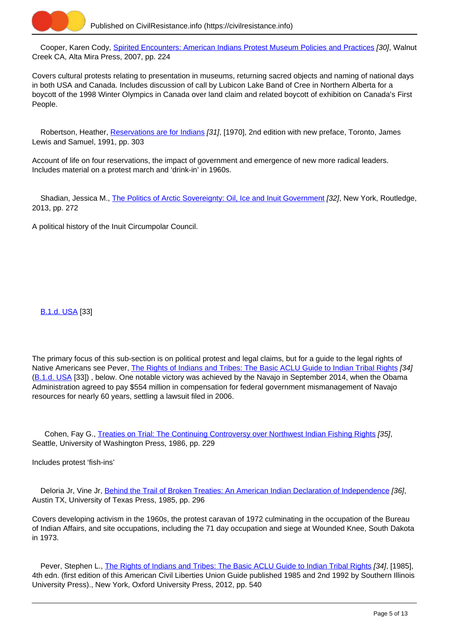

Cooper, Karen Cody, [Spirited Encounters: American Indians Protest Museum Policies and Practices](https://civilresistance.info/biblio-item/2007/spirited-encounters-american-indians-protest-museum-policies-and-practices) [30], Walnut Creek CA, Alta Mira Press, 2007, pp. 224

Covers cultural protests relating to presentation in museums, returning sacred objects and naming of national days in both USA and Canada. Includes discussion of call by Lubicon Lake Band of Cree in Northern Alberta for a boycott of the 1998 Winter Olympics in Canada over land claim and related boycott of exhibition on Canada's First People.

Robertson, Heather, [Reservations are for Indians](https://civilresistance.info/biblio-item/1991/reservations-are-indians) [31], [1970], 2nd edition with new preface, Toronto, James Lewis and Samuel, 1991, pp. 303

Account of life on four reservations, the impact of government and emergence of new more radical leaders. Includes material on a protest march and 'drink-in' in 1960s.

Shadian, Jessica M., [The Politics of Arctic Sovereignty: Oil, Ice and Inuit Government](https://civilresistance.info/biblio-item/2013/politics-arctic-sovereignty-oil-ice-and-inuit-government) [32], New York, Routledge, 2013, pp. 272

A political history of the Inuit Circumpolar Council.

[B.1.d. USA](https://civilresistance.info/section/b-indigenous-movements/b1-campaigns-civil-political-and-cultural-rights/b1d-usa) [33]

The primary focus of this sub-section is on political protest and legal claims, but for a guide to the legal rights of Native Americans see Pever, [The Rights of Indians and Tribes: The Basic ACLU Guide to Indian Tribal Rights](https://civilresistance.info/biblio-item/2012/rights-indians-and-tribes-basic-aclu-guide-indian-tribal-rights) [34] ([B.1.d. USA](https://civilresistance.info/section/b-indigenous-movements/b1-campaigns-civil-political-and-cultural-rights/b1d-usa) [33]), below. One notable victory was achieved by the Navajo in September 2014, when the Obama Administration agreed to pay \$554 million in compensation for federal government mismanagement of Navajo resources for nearly 60 years, settling a lawsuit filed in 2006.

 Cohen, Fay G., [Treaties on Trial: The Continuing Controversy over Northwest Indian Fishing Rights](https://civilresistance.info/biblio-item/1986/treaties-trial-continuing-controversy-over-northwest-indian-fishing-rights) [35], Seattle, University of Washington Press, 1986, pp. 229

Includes protest 'fish-ins'

Deloria Jr, Vine Jr, [Behind the Trail of Broken Treaties: An American Indian Declaration of Independence](https://civilresistance.info/biblio-item/1985/behind-trail-broken-treaties-american-indian-declaration-independence) [36], Austin TX, University of Texas Press, 1985, pp. 296

Covers developing activism in the 1960s, the protest caravan of 1972 culminating in the occupation of the Bureau of Indian Affairs, and site occupations, including the 71 day occupation and siege at Wounded Knee, South Dakota in 1973.

Pever, Stephen L., [The Rights of Indians and Tribes: The Basic ACLU Guide to Indian Tribal Rights](https://civilresistance.info/biblio-item/2012/rights-indians-and-tribes-basic-aclu-guide-indian-tribal-rights) [34], [1985], 4th edn. (first edition of this American Civil Liberties Union Guide published 1985 and 2nd 1992 by Southern Illinois University Press)., New York, Oxford University Press, 2012, pp. 540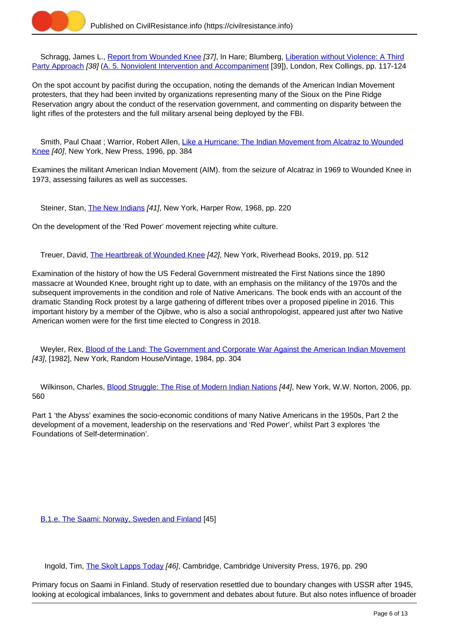

Schragg, James L., [Report from Wounded Knee](https://civilresistance.info/biblio-item/1977/report-wounded-knee) [37], In Hare: Blumberg, [Liberation without Violence: A Third](https://civilresistance.info/biblio-item/1977/liberation-without-violence-third-party-approach) [Party Approach](https://civilresistance.info/biblio-item/1977/liberation-without-violence-third-party-approach) [38] [\(A. 5. Nonviolent Intervention and Accompaniment](https://civilresistance.info/section/introduction-nonviolent-action/5-nonviolent-intervention-and-accompaniment) [39]), London, Rex Collings, pp. 117-124

On the spot account by pacifist during the occupation, noting the demands of the American Indian Movement protesters, that they had been invited by organizations representing many of the Sioux on the Pine Ridge Reservation angry about the conduct of the reservation government, and commenting on disparity between the light rifles of the protesters and the full military arsenal being deployed by the FBI.

 Smith, Paul Chaat ; Warrior, Robert Allen, [Like a Hurricane: The Indian Movement from Alcatraz to Wounded](https://civilresistance.info/biblio-item/1996/hurricane-indian-movement-alcatraz-wounded-knee) [Knee](https://civilresistance.info/biblio-item/1996/hurricane-indian-movement-alcatraz-wounded-knee) [40], New York, New Press, 1996, pp. 384

Examines the militant American Indian Movement (AIM). from the seizure of Alcatraz in 1969 to Wounded Knee in 1973, assessing failures as well as successes.

Steiner, Stan, [The New Indians](https://civilresistance.info/biblio-item/1968/new-indians) [41], New York, Harper Row, 1968, pp. 220

On the development of the 'Red Power' movement rejecting white culture.

Treuer, David, [The Heartbreak of Wounded Knee](https://civilresistance.info/biblio-item/2019/heartbreak-wounded-knee) [42], New York, Riverhead Books, 2019, pp. 512

Examination of the history of how the US Federal Government mistreated the First Nations since the 1890 massacre at Wounded Knee, brought right up to date, with an emphasis on the militancy of the 1970s and the subsequent improvements in the condition and role of Native Americans. The book ends with an account of the dramatic Standing Rock protest by a large gathering of different tribes over a proposed pipeline in 2016. This important history by a member of the Ojibwe, who is also a social anthropologist, appeared just after two Native American women were for the first time elected to Congress in 2018.

 Weyler, Rex, [Blood of the Land: The Government and Corporate War Against the American Indian Movement](https://civilresistance.info/biblio-item/1984/blood-land-government-and-corporate-war-against-american-indian-movement) [43], [1982], New York, Random House/Vintage, 1984, pp. 304

Wilkinson, Charles, [Blood Struggle: The Rise of Modern Indian Nations](https://civilresistance.info/biblio-item/2006/blood-struggle-rise-modern-indian-nations) [44], New York, W.W. Norton, 2006, pp. 560

Part 1 'the Abyss' examines the socio-economic conditions of many Native Americans in the 1950s, Part 2 the development of a movement, leadership on the reservations and 'Red Power', whilst Part 3 explores 'the Foundations of Self-determination'.

[B.1.e. The Saami: Norway, Sweden and Finland](https://civilresistance.info/section/b-indigenous-movements/b1-campaigns-civil-political-and-cultural-rights/b1e-saami-norway) [45]

Ingold, Tim, [The Skolt Lapps Today](https://civilresistance.info/biblio-item/1976/skolt-lapps-today) [46], Cambridge, Cambridge University Press, 1976, pp. 290

Primary focus on Saami in Finland. Study of reservation resettled due to boundary changes with USSR after 1945, looking at ecological imbalances, links to government and debates about future. But also notes influence of broader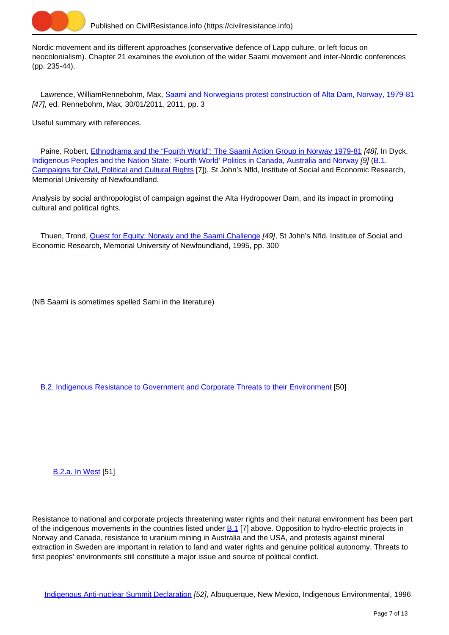

Nordic movement and its different approaches (conservative defence of Lapp culture, or left focus on neocolonialism). Chapter 21 examines the evolution of the wider Saami movement and inter-Nordic conferences (pp. 235-44).

Lawrence, WilliamRennebohm, Max, [Saami and Norwegians protest construction of Alta Dam, Norway, 1979-81](https://civilresistance.info/biblio-item/2011/saami-and-norwegians-protest-construction-alta-dam-norway-1979-81) [47], ed. Rennebohm, Max, 30/01/2011, 2011, pp. 3

Useful summary with references.

Paine, Robert, *Ethnodrama and the "Fourth World": The Saami Action Group in Norway 1979-81 [48]*, In Dyck, [Indigenous Peoples and the Nation State: 'Fourth World' Politics in Canada, Australia and Norway](https://civilresistance.info/biblio-item/1985/indigenous-peoples-and-nation-state-fourth-world-politics-canada-australia-and) [9] [\(B.1.](https://civilresistance.info/section/b-indigenous-movements/b1-campaigns-civil-political-and-cultural-rights) [Campaigns for Civil, Political and Cultural Rights](https://civilresistance.info/section/b-indigenous-movements/b1-campaigns-civil-political-and-cultural-rights) [7]), St John's Nfld, Institute of Social and Economic Research, Memorial University of Newfoundland,

Analysis by social anthropologist of campaign against the Alta Hydropower Dam, and its impact in promoting cultural and political rights.

Thuen, Trond, [Quest for Equity: Norway and the Saami Challenge](https://civilresistance.info/biblio-item/1995/quest-equity-norway-and-saami-challenge) [49], St John's Nfld, Institute of Social and Economic Research, Memorial University of Newfoundland, 1995, pp. 300

(NB Saami is sometimes spelled Sami in the literature)

[B.2. Indigenous Resistance to Government and Corporate Threats to their Environment](https://civilresistance.info/section/b-indigenous-movements/b2-indigenous-resistance-government-and-corporate-threats-their) [50]

[B.2.a. In West](https://civilresistance.info/section/b-indigenous-movements/b2-indigenous-resistance-government-and-corporate-threats-their-0) [51]

Resistance to national and corporate projects threatening water rights and their natural environment has been part of the indigenous movements in the countries listed under  $B.1$  [7] above. Opposition to hydro-electric projects in Norway and Canada, resistance to uranium mining in Australia and the USA, and protests against mineral extraction in Sweden are important in relation to land and water rights and genuine political autonomy. Threats to first peoples' environments still constitute a major issue and source of political conflict.

[Indigenous Anti-nuclear Summit Declaration](https://civilresistance.info/biblio-item/1996/indigenous-anti-nuclear-summit-declaration) [52], Albuquerque, New Mexico, Indigenous Environmental, 1996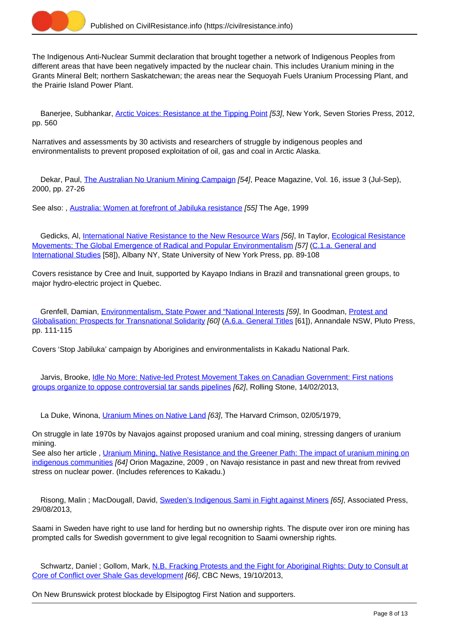

The Indigenous Anti-Nuclear Summit declaration that brought together a network of Indigenous Peoples from different areas that have been negatively impacted by the nuclear chain. This includes Uranium mining in the Grants Mineral Belt; northern Saskatchewan; the areas near the Sequoyah Fuels Uranium Processing Plant, and the Prairie Island Power Plant.

Banerjee, Subhankar, [Arctic Voices: Resistance at the Tipping Point](https://civilresistance.info/biblio-item/2012/arctic-voices-resistance-tipping-point) [53], New York, Seven Stories Press, 2012, pp. 560

Narratives and assessments by 30 activists and researchers of struggle by indigenous peoples and environmentalists to prevent proposed exploitation of oil, gas and coal in Arctic Alaska.

 Dekar, Paul, [The Australian No Uranium Mining Campaign](https://civilresistance.info/biblio-item/2000/australian-no-uranium-mining-campaign) [54], Peace Magazine, Vol. 16, issue 3 (Jul-Sep), 2000, pp. 27-26

See also: , [Australia: Women at forefront of Jabiluka resistance](https://civilresistance.info/biblio-item/1999/australia-women-forefront-jabiluka-resistance) [55] The Age, 1999

Gedicks, Al, [International Native Resistance to the New Resource Wars](https://civilresistance.info/biblio-item/1995/international-native-resistance-new-resource-wars) [56], In Taylor, [Ecological Resistance](https://civilresistance.info/biblio-item/1995/ecological-resistance-movements-global-emergence-radical-and-popular) [Movements: The Global Emergence of Radical and Popular Environmentalism](https://civilresistance.info/biblio-item/1995/ecological-resistance-movements-global-emergence-radical-and-popular) [57] [\(C.1.a. General and](https://civilresistance.info/section/c-green-campaigns-and-protests/c1-green-movements/c1a-general-and-international-studies) [International Studies](https://civilresistance.info/section/c-green-campaigns-and-protests/c1-green-movements/c1a-general-and-international-studies) [58]), Albany NY, State University of New York Press, pp. 89-108

Covers resistance by Cree and Inuit, supported by Kayapo Indians in Brazil and transnational green groups, to major hydro-electric project in Quebec.

Grenfell, Damian, *Environmentalism, State Power and "National Interests [59]*, In Goodman, *[Protest and](https://civilresistance.info/biblio-item/2002/protest-and-globalisation-prospects-transnational-solidarity)* [Globalisation: Prospects for Transnational Solidarity](https://civilresistance.info/biblio-item/2002/protest-and-globalisation-prospects-transnational-solidarity) [60] ([A.6.a. General Titles](https://civilresistance.info/section/campaigns-social-and-economic-justice/a6-global-justice-movement/a6a-general-titles) [61]), Annandale NSW, Pluto Press, pp. 111-115

Covers 'Stop Jabiluka' campaign by Aborigines and environmentalists in Kakadu National Park.

 Jarvis, Brooke, [Idle No More: Native-led Protest Movement Takes on Canadian Government: First nations](https://civilresistance.info/biblio-item/2013/idle-no-more-native-led-protest-movement-takes-canadian-government-first-nations) [groups organize to oppose controversial tar sands pipelines](https://civilresistance.info/biblio-item/2013/idle-no-more-native-led-protest-movement-takes-canadian-government-first-nations) [62], Rolling Stone, 14/02/2013,

La Duke, Winona, *[Uranium Mines on Native Land](https://civilresistance.info/biblio-item/1979/uranium-mines-native-land) [63]*, The Harvard Crimson, 02/05/1979,

On struggle in late 1970s by Navajos against proposed uranium and coal mining, stressing dangers of uranium mining.

See also her article , [Uranium Mining, Native Resistance and the Greener Path: The impact of uranium mining on](https://civilresistance.info/biblio-item/2009/uranium-mining-native-resistance-and-greener-path-impact-uranium-mining-indigenous) [indigenous communities](https://civilresistance.info/biblio-item/2009/uranium-mining-native-resistance-and-greener-path-impact-uranium-mining-indigenous) [64] Orion Magazine, 2009, on Navajo resistance in past and new threat from revived stress on nuclear power. (Includes references to Kakadu.)

Risong, Malin ; MacDougall, David, [Sweden's Indigenous Sami in Fight against Miners](https://civilresistance.info/biblio-item/2013/swedens-indigenous-sami-fight-against-miners) [65], Associated Press, 29/08/2013,

Saami in Sweden have right to use land for herding but no ownership rights. The dispute over iron ore mining has prompted calls for Swedish government to give legal recognition to Saami ownership rights.

Schwartz, Daniel ; Gollom, Mark, [N.B. Fracking Protests and the Fight for Aboriginal Rights: Duty to Consult at](https://civilresistance.info/biblio-item/2013/nb-fracking-protests-and-fight-aboriginal-rights-duty-consult-core-conflict-over) [Core of Conflict over Shale Gas development](https://civilresistance.info/biblio-item/2013/nb-fracking-protests-and-fight-aboriginal-rights-duty-consult-core-conflict-over) [66], CBC News, 19/10/2013,

On New Brunswick protest blockade by Elsipogtog First Nation and supporters.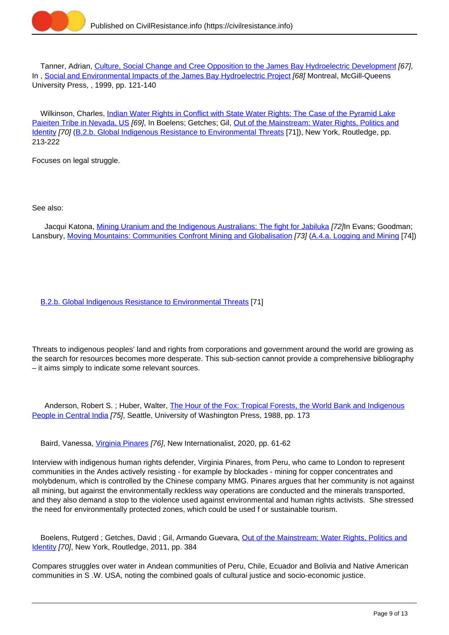

 Tanner, Adrian, [Culture, Social Change and Cree Opposition to the James Bay Hydroelectric Development](https://civilresistance.info/biblio-item/1999/culture-social-change-and-cree-opposition-james-bay-hydroelectric-development) [67], In, [Social and Environmental Impacts of the James Bay Hydroelectric Project](https://civilresistance.info/biblio-item/1999/social-and-environmental-impacts-james-bay-hydroelectric-project) [68] Montreal, McGill-Queens University Press, , 1999, pp. 121-140

 Wilkinson, Charles, [Indian Water Rights in Conflict with State Water Rights: The Case of the Pyramid Lake](https://civilresistance.info/biblio-item/2011/indian-water-rights-conflict-state-water-rights-case-pyramid-lake-paieiten-tribe) [Paieiten Tribe in Nevada, US](https://civilresistance.info/biblio-item/2011/indian-water-rights-conflict-state-water-rights-case-pyramid-lake-paieiten-tribe) [69], In Boelens; Getches; Gil, [Out of the Mainstream: Water Rights, Politics and](https://civilresistance.info/biblio-item/2011/out-mainstream-water-rights-politics-and-identity) [Identity](https://civilresistance.info/biblio-item/2011/out-mainstream-water-rights-politics-and-identity) [70] [\(B.2.b. Global Indigenous Resistance to Environmental Threats](https://civilresistance.info/section/b-indigenous-movements/b2-indigenous-resistance-government-and-corporate-threats-their-1) [71]), New York, Routledge, pp. 213-222

Focuses on legal struggle.

See also:

Jacqui Katona, [Mining Uranium and the Indigenous Australians: The fight for Jabiluka](https://civilresistance.info/biblio-item/2002/mining-uranium-and-indigenous-australians-fight-jabiluka) [72]In Evans; Goodman; Lansbury, [Moving Mountains: Communities Confront Mining and Globalisation](https://civilresistance.info/biblio-item/2002/moving-mountains-communities-confront-mining-and-globalisation) [73] [\(A.4.a. Logging and Mining](https://civilresistance.info/section/campaigns-social-and-economic-justice/a4-resistance-multinationals/a4a-logging-and-mining) [74])

[B.2.b. Global Indigenous Resistance to Environmental Threats](https://civilresistance.info/section/b-indigenous-movements/b2-indigenous-resistance-government-and-corporate-threats-their-1) [71]

Threats to indigenous peoples' land and rights from corporations and government around the world are growing as the search for resources becomes more desperate. This sub-section cannot provide a comprehensive bibliography – it aims simply to indicate some relevant sources.

Anderson, Robert S.; Huber, Walter, [The Hour of the Fox: Tropical Forests, the World Bank and Indigenous](https://civilresistance.info/biblio-item/1988/hour-fox-tropical-forests-world-bank-and-indigenous-people-central-india) [People in Central India](https://civilresistance.info/biblio-item/1988/hour-fox-tropical-forests-world-bank-and-indigenous-people-central-india) [75], Seattle, University of Washington Press, 1988, pp. 173

Baird, Vanessa, *Virginia Pinares [76]*, New Internationalist, 2020, pp. 61-62

Interview with indigenous human rights defender, Virginia Pinares, from Peru, who came to London to represent communities in the Andes actively resisting - for example by blockades - mining for copper concentrates and molybdenum, which is controlled by the Chinese company MMG. Pinares argues that her community is not against all mining, but against the environmentally reckless way operations are conducted and the minerals transported, and they also demand a stop to the violence used against environmental and human rights activists. She stressed the need for environmentally protected zones, which could be used f or sustainable tourism.

Boelens, Rutgerd ; Getches, David ; Gil, Armando Guevara, [Out of the Mainstream: Water Rights, Politics and](https://civilresistance.info/biblio-item/2011/out-mainstream-water-rights-politics-and-identity) [Identity](https://civilresistance.info/biblio-item/2011/out-mainstream-water-rights-politics-and-identity) [70], New York, Routledge, 2011, pp. 384

Compares struggles over water in Andean communities of Peru, Chile, Ecuador and Bolivia and Native American communities in S .W. USA, noting the combined goals of cultural justice and socio-economic justice.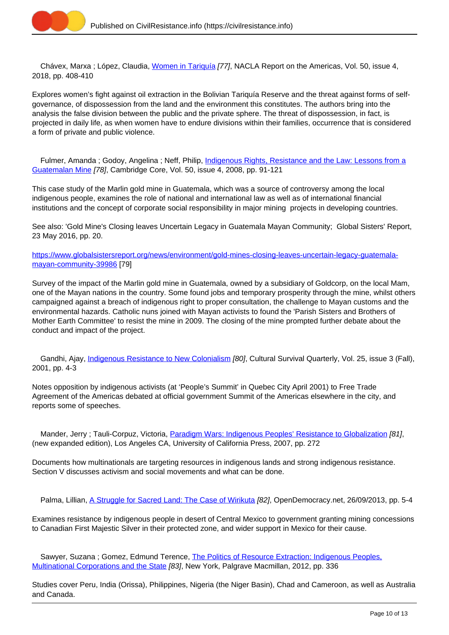

Chávex, Marxa ; López, Claudia, [Women in Tariquía](https://civilresistance.info/biblio-item/2018/women-tariquia) [77], NACLA Report on the Americas, Vol. 50, issue 4, 2018, pp. 408-410

Explores women's fight against oil extraction in the Bolivian Tariquía Reserve and the threat against forms of selfgovernance, of dispossession from the land and the environment this constitutes. The authors bring into the analysis the false division between the public and the private sphere. The threat of dispossession, in fact, is projected in daily life, as when women have to endure divisions within their families, occurrence that is considered a form of private and public violence.

Fulmer, Amanda; Godoy, Angelina; Neff, Philip, *Indigenous Rights, Resistance and the Law: Lessons from a* [Guatemalan Mine](https://civilresistance.info/biblio-item/2008/indigenous-rights-resistance-and-law-lessons-guatemalan-mine) [78], Cambridge Core, Vol. 50, issue 4, 2008, pp. 91-121

This case study of the Marlin gold mine in Guatemala, which was a source of controversy among the local indigenous people, examines the role of national and international law as well as of international financial institutions and the concept of corporate social responsibility in major mining projects in developing countries.

See also: 'Gold Mine's Closing leaves Uncertain Legacy in Guatemala Mayan Community; Global Sisters' Report, 23 May 2016, pp. 20.

[https://www.globalsistersreport.org/news/environment/gold-mines-closing-leaves-uncertain-legacy-guatemala](https://www.globalsistersreport.org/news/environment/gold-mines-closing-leaves-uncertain-legacy-guatemala-mayan-community-39986)[mayan-community-39986](https://www.globalsistersreport.org/news/environment/gold-mines-closing-leaves-uncertain-legacy-guatemala-mayan-community-39986) [79]

Survey of the impact of the Marlin gold mine in Guatemala, owned by a subsidiary of Goldcorp, on the local Mam, one of the Mayan nations in the country. Some found jobs and temporary prosperity through the mine, whilst others campaigned against a breach of indigenous right to proper consultation, the challenge to Mayan customs and the environmental hazards. Catholic nuns joined with Mayan activists to found the 'Parish Sisters and Brothers of Mother Earth Committee' to resist the mine in 2009. The closing of the mine prompted further debate about the conduct and impact of the project.

Gandhi, Ajay, *Indigenous Resistance to New Colonialism [80]*, Cultural Survival Quarterly, Vol. 25, issue 3 (Fall), 2001, pp. 4-3

Notes opposition by indigenous activists (at 'People's Summit' in Quebec City April 2001) to Free Trade Agreement of the Americas debated at official government Summit of the Americas elsewhere in the city, and reports some of speeches.

 Mander, Jerry ; Tauli-Corpuz, Victoria, [Paradigm Wars: Indigenous Peoples' Resistance to Globalization](https://civilresistance.info/biblio-item/2007/paradigm-wars-indigenous-peoples-resistance-globalization) [81], (new expanded edition), Los Angeles CA, University of California Press, 2007, pp. 272

Documents how multinationals are targeting resources in indigenous lands and strong indigenous resistance. Section V discusses activism and social movements and what can be done.

Palma, Lillian, [A Struggle for Sacred Land: The Case of Wirikuta](https://civilresistance.info/biblio-item/2013/struggle-sacred-land-case-wirikuta) [82], OpenDemocracy.net, 26/09/2013, pp. 5-4

Examines resistance by indigenous people in desert of Central Mexico to government granting mining concessions to Canadian First Majestic Silver in their protected zone, and wider support in Mexico for their cause.

Sawyer, Suzana; Gomez, Edmund Terence, [The Politics of Resource Extraction: Indigenous Peoples,](https://civilresistance.info/biblio-item/2012/politics-resource-extraction-indigenous-peoples-multinational-corporations-and) [Multinational Corporations and the State](https://civilresistance.info/biblio-item/2012/politics-resource-extraction-indigenous-peoples-multinational-corporations-and) [83], New York, Palgrave Macmillan, 2012, pp. 336

Studies cover Peru, India (Orissa), Philippines, Nigeria (the Niger Basin), Chad and Cameroon, as well as Australia and Canada.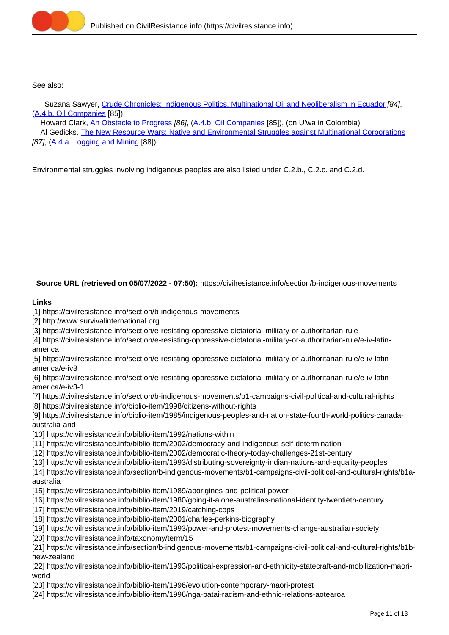

See also:

Suzana Sawyer, [Crude Chronicles: Indigenous Politics, Multinational Oil and Neoliberalism in Ecuador](https://civilresistance.info/biblio-item/2004/crude-chronicles-indigenous-politics-multinational-oil-and-neoliberalism-ecuador) [84], (A.4.b. Oil Companies [85])

Howard Clark, [An Obstacle to Progress](https://civilresistance.info/biblio-item/2002/obstacle-progress) [86], (A.4.b. Oil Companies [85]), (on U'wa in Colombia)

 Al Gedicks, [The New Resource Wars: Native and Environmental Struggles against Multinational Corporations](https://civilresistance.info/biblio-item/1993/new-resource-wars-native-and-environmental-struggles-against-multinational) [87], (A.4.a. Logging and Mining [88])

Environmental struggles involving indigenous peoples are also listed under C.2.b., C.2.c. and C.2.d.

**Source URL (retrieved on 05/07/2022 - 07:50):** https://civilresistance.info/section/b-indigenous-movements

## **Links**

[1] https://civilresistance.info/section/b-indigenous-movements

[2] http://www.survivalinternational.org

[3] https://civilresistance.info/section/e-resisting-oppressive-dictatorial-military-or-authoritarian-rule

[4] https://civilresistance.info/section/e-resisting-oppressive-dictatorial-military-or-authoritarian-rule/e-iv-latinamerica

[5] https://civilresistance.info/section/e-resisting-oppressive-dictatorial-military-or-authoritarian-rule/e-iv-latinamerica/e-iv3

[6] https://civilresistance.info/section/e-resisting-oppressive-dictatorial-military-or-authoritarian-rule/e-iv-latinamerica/e-iv3-1

[7] https://civilresistance.info/section/b-indigenous-movements/b1-campaigns-civil-political-and-cultural-rights

[8] https://civilresistance.info/biblio-item/1998/citizens-without-rights

[9] https://civilresistance.info/biblio-item/1985/indigenous-peoples-and-nation-state-fourth-world-politics-canadaaustralia-and

[10] https://civilresistance.info/biblio-item/1992/nations-within

[11] https://civilresistance.info/biblio-item/2002/democracy-and-indigenous-self-determination

[12] https://civilresistance.info/biblio-item/2002/democratic-theory-today-challenges-21st-century

[13] https://civilresistance.info/biblio-item/1993/distributing-sovereignty-indian-nations-and-equality-peoples

[14] https://civilresistance.info/section/b-indigenous-movements/b1-campaigns-civil-political-and-cultural-rights/b1aaustralia

[15] https://civilresistance.info/biblio-item/1989/aborigines-and-political-power

[16] https://civilresistance.info/biblio-item/1980/going-it-alone-australias-national-identity-twentieth-century

[17] https://civilresistance.info/biblio-item/2019/catching-cops

[18] https://civilresistance.info/biblio-item/2001/charles-perkins-biography

[19] https://civilresistance.info/biblio-item/1993/power-and-protest-movements-change-australian-society

[20] https://civilresistance.info/taxonomy/term/15

[21] https://civilresistance.info/section/b-indigenous-movements/b1-campaigns-civil-political-and-cultural-rights/b1bnew-zealand

[22] https://civilresistance.info/biblio-item/1993/political-expression-and-ethnicity-statecraft-and-mobilization-maoriworld

[23] https://civilresistance.info/biblio-item/1996/evolution-contemporary-maori-protest

[24] https://civilresistance.info/biblio-item/1996/nga-patai-racism-and-ethnic-relations-aotearoa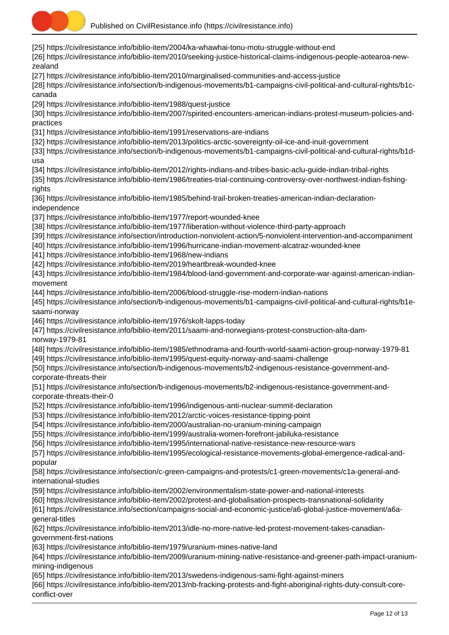

[25] https://civilresistance.info/biblio-item/2004/ka-whawhai-tonu-motu-struggle-without-end [26] https://civilresistance.info/biblio-item/2010/seeking-justice-historical-claims-indigenous-people-aotearoa-newzealand [27] https://civilresistance.info/biblio-item/2010/marginalised-communities-and-access-justice [28] https://civilresistance.info/section/b-indigenous-movements/b1-campaigns-civil-political-and-cultural-rights/b1ccanada [29] https://civilresistance.info/biblio-item/1988/quest-justice [30] https://civilresistance.info/biblio-item/2007/spirited-encounters-american-indians-protest-museum-policies-andpractices [31] https://civilresistance.info/biblio-item/1991/reservations-are-indians [32] https://civilresistance.info/biblio-item/2013/politics-arctic-sovereignty-oil-ice-and-inuit-government [33] https://civilresistance.info/section/b-indigenous-movements/b1-campaigns-civil-political-and-cultural-rights/b1dusa [34] https://civilresistance.info/biblio-item/2012/rights-indians-and-tribes-basic-aclu-guide-indian-tribal-rights [35] https://civilresistance.info/biblio-item/1986/treaties-trial-continuing-controversy-over-northwest-indian-fishingrights [36] https://civilresistance.info/biblio-item/1985/behind-trail-broken-treaties-american-indian-declarationindependence [37] https://civilresistance.info/biblio-item/1977/report-wounded-knee [38] https://civilresistance.info/biblio-item/1977/liberation-without-violence-third-party-approach [39] https://civilresistance.info/section/introduction-nonviolent-action/5-nonviolent-intervention-and-accompaniment [40] https://civilresistance.info/biblio-item/1996/hurricane-indian-movement-alcatraz-wounded-knee [41] https://civilresistance.info/biblio-item/1968/new-indians [42] https://civilresistance.info/biblio-item/2019/heartbreak-wounded-knee [43] https://civilresistance.info/biblio-item/1984/blood-land-government-and-corporate-war-against-american-indianmovement [44] https://civilresistance.info/biblio-item/2006/blood-struggle-rise-modern-indian-nations [45] https://civilresistance.info/section/b-indigenous-movements/b1-campaigns-civil-political-and-cultural-rights/b1esaami-norway [46] https://civilresistance.info/biblio-item/1976/skolt-lapps-today [47] https://civilresistance.info/biblio-item/2011/saami-and-norwegians-protest-construction-alta-damnorway-1979-81 [48] https://civilresistance.info/biblio-item/1985/ethnodrama-and-fourth-world-saami-action-group-norway-1979-81 [49] https://civilresistance.info/biblio-item/1995/quest-equity-norway-and-saami-challenge [50] https://civilresistance.info/section/b-indigenous-movements/b2-indigenous-resistance-government-andcorporate-threats-their [51] https://civilresistance.info/section/b-indigenous-movements/b2-indigenous-resistance-government-andcorporate-threats-their-0 [52] https://civilresistance.info/biblio-item/1996/indigenous-anti-nuclear-summit-declaration [53] https://civilresistance.info/biblio-item/2012/arctic-voices-resistance-tipping-point [54] https://civilresistance.info/biblio-item/2000/australian-no-uranium-mining-campaign [55] https://civilresistance.info/biblio-item/1999/australia-women-forefront-jabiluka-resistance [56] https://civilresistance.info/biblio-item/1995/international-native-resistance-new-resource-wars [57] https://civilresistance.info/biblio-item/1995/ecological-resistance-movements-global-emergence-radical-andpopular [58] https://civilresistance.info/section/c-green-campaigns-and-protests/c1-green-movements/c1a-general-andinternational-studies [59] https://civilresistance.info/biblio-item/2002/environmentalism-state-power-and-national-interests [60] https://civilresistance.info/biblio-item/2002/protest-and-globalisation-prospects-transnational-solidarity [61] https://civilresistance.info/section/campaigns-social-and-economic-justice/a6-global-justice-movement/a6ageneral-titles [62] https://civilresistance.info/biblio-item/2013/idle-no-more-native-led-protest-movement-takes-canadiangovernment-first-nations [63] https://civilresistance.info/biblio-item/1979/uranium-mines-native-land [64] https://civilresistance.info/biblio-item/2009/uranium-mining-native-resistance-and-greener-path-impact-uraniummining-indigenous [65] https://civilresistance.info/biblio-item/2013/swedens-indigenous-sami-fight-against-miners [66] https://civilresistance.info/biblio-item/2013/nb-fracking-protests-and-fight-aboriginal-rights-duty-consult-coreconflict-over